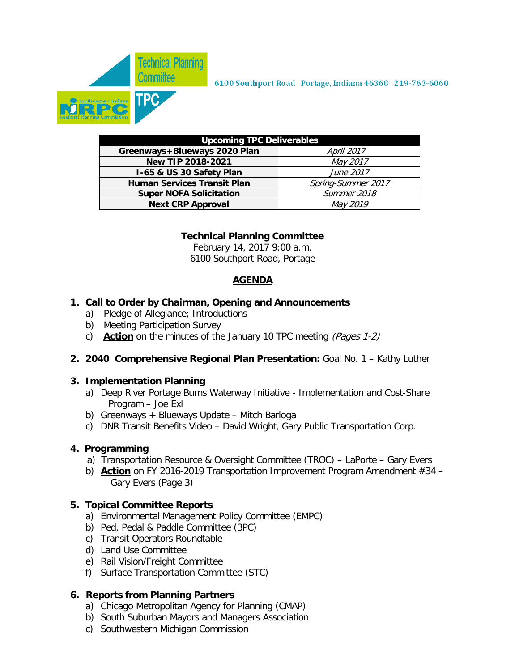

| <b>Upcoming TPC Deliverables</b>   |                    |  |  |  |  |  |  |  |
|------------------------------------|--------------------|--|--|--|--|--|--|--|
| Greenways+Blueways 2020 Plan       | <b>April 2017</b>  |  |  |  |  |  |  |  |
| New TIP 2018-2021                  | May 2017           |  |  |  |  |  |  |  |
| I-65 & US 30 Safety Plan           | June 2017          |  |  |  |  |  |  |  |
| <b>Human Services Transit Plan</b> | Spring-Summer 2017 |  |  |  |  |  |  |  |
| <b>Super NOFA Solicitation</b>     | Summer 2018        |  |  |  |  |  |  |  |
| <b>Next CRP Approval</b>           | May 2019           |  |  |  |  |  |  |  |

## **Technical Planning Committee**

February 14, 2017 9:00 a.m. 6100 Southport Road, Portage

## **AGENDA**

### **1. Call to Order by Chairman, Opening and Announcements**

- a) Pledge of Allegiance; Introductions
- b) Meeting Participation Survey
- c) **Action** on the minutes of the January 10 TPC meeting (Pages 1-2)

## **2. 2040 Comprehensive Regional Plan Presentation:** Goal No. 1 – Kathy Luther

#### **3. Implementation Planning**

- a) Deep River Portage Burns Waterway Initiative Implementation and Cost-Share Program – Joe Exl
- b) Greenways + Blueways Update Mitch Barloga
- c) DNR Transit Benefits Video David Wright, Gary Public Transportation Corp.

## **4. Programming**

- a) Transportation Resource & Oversight Committee (TROC) LaPorte Gary Evers
- b) **Action** on FY 2016-2019 Transportation Improvement Program Amendment #34 Gary Evers (Page 3)

#### **5. Topical Committee Reports**

- a) Environmental Management Policy Committee (EMPC)
- b) Ped, Pedal & Paddle Committee (3PC)
- c) Transit Operators Roundtable
- d) Land Use Committee
- e) Rail Vision/Freight Committee
- f) Surface Transportation Committee (STC)

#### **6. Reports from Planning Partners**

- a) Chicago Metropolitan Agency for Planning (CMAP)
- b) South Suburban Mayors and Managers Association
- c) Southwestern Michigan Commission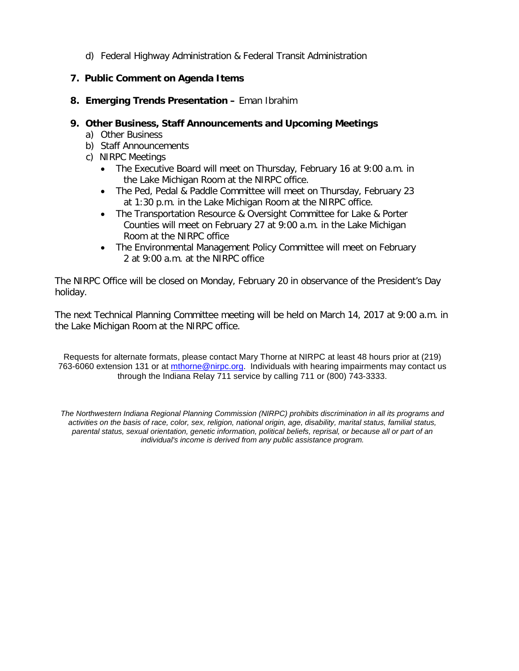d) Federal Highway Administration & Federal Transit Administration

## **7. Public Comment on Agenda Items**

**8. Emerging Trends Presentation –** Eman Ibrahim

### **9. Other Business, Staff Announcements and Upcoming Meetings**

- a) Other Business
- b) Staff Announcements
- c) NIRPC Meetings
	- The Executive Board will meet on Thursday, February 16 at 9:00 a.m. in the Lake Michigan Room at the NIRPC office.
	- The Ped, Pedal & Paddle Committee will meet on Thursday, February 23 at 1:30 p.m. in the Lake Michigan Room at the NIRPC office.
	- The Transportation Resource & Oversight Committee for Lake & Porter Counties will meet on February 27 at 9:00 a.m. in the Lake Michigan Room at the NIRPC office
	- The Environmental Management Policy Committee will meet on February 2 at 9:00 a.m. at the NIRPC office

The NIRPC Office will be closed on Monday, February 20 in observance of the President's Day holiday.

The next Technical Planning Committee meeting will be held on March 14, 2017 at 9:00 a.m. in the Lake Michigan Room at the NIRPC office.

Requests for alternate formats, please contact Mary Thorne at NIRPC at least 48 hours prior at (219) 763-6060 extension 131 or at [mthorne@nirpc.org.](mailto:mthorne@nirpc.org) Individuals with hearing impairments may contact us through the Indiana Relay 711 service by calling 711 or (800) 743-3333.

*The Northwestern Indiana Regional Planning Commission (NIRPC) prohibits discrimination in all its programs and activities on the basis of race, color, sex, religion, national origin, age, disability, marital status, familial status, parental status, sexual orientation, genetic information, political beliefs, reprisal, or because all or part of an individual's income is derived from any public assistance program.*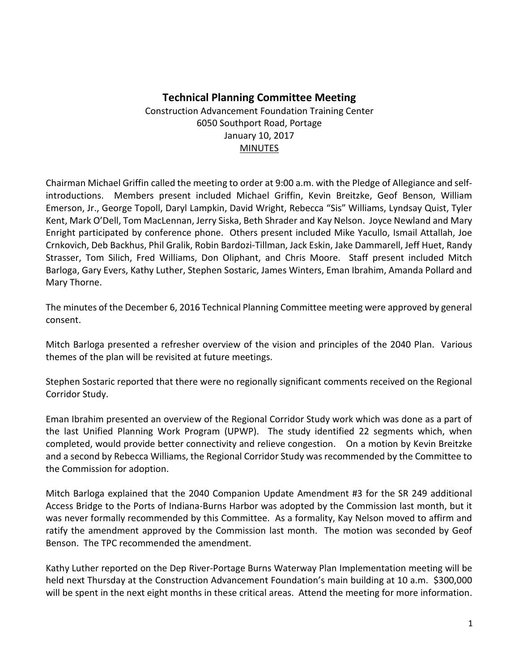## **Technical Planning Committee Meeting**

Construction Advancement Foundation Training Center 6050 Southport Road, Portage January 10, 2017 **MINUTES** 

Chairman Michael Griffin called the meeting to order at 9:00 a.m. with the Pledge of Allegiance and selfintroductions. Members present included Michael Griffin, Kevin Breitzke, Geof Benson, William Emerson, Jr., George Topoll, Daryl Lampkin, David Wright, Rebecca "Sis" Williams, Lyndsay Quist, Tyler Kent, Mark O'Dell, Tom MacLennan, Jerry Siska, Beth Shrader and Kay Nelson. Joyce Newland and Mary Enright participated by conference phone. Others present included Mike Yacullo, Ismail Attallah, Joe Crnkovich, Deb Backhus, Phil Gralik, Robin Bardozi-Tillman, Jack Eskin, Jake Dammarell, Jeff Huet, Randy Strasser, Tom Silich, Fred Williams, Don Oliphant, and Chris Moore. Staff present included Mitch Barloga, Gary Evers, Kathy Luther, Stephen Sostaric, James Winters, Eman Ibrahim, Amanda Pollard and Mary Thorne.

The minutes of the December 6, 2016 Technical Planning Committee meeting were approved by general consent.

Mitch Barloga presented a refresher overview of the vision and principles of the 2040 Plan. Various themes of the plan will be revisited at future meetings.

Stephen Sostaric reported that there were no regionally significant comments received on the Regional Corridor Study.

Eman Ibrahim presented an overview of the Regional Corridor Study work which was done as a part of the last Unified Planning Work Program (UPWP). The study identified 22 segments which, when completed, would provide better connectivity and relieve congestion. On a motion by Kevin Breitzke and a second by Rebecca Williams, the Regional Corridor Study was recommended by the Committee to the Commission for adoption.

Mitch Barloga explained that the 2040 Companion Update Amendment #3 for the SR 249 additional Access Bridge to the Ports of Indiana-Burns Harbor was adopted by the Commission last month, but it was never formally recommended by this Committee. As a formality, Kay Nelson moved to affirm and ratify the amendment approved by the Commission last month. The motion was seconded by Geof Benson. The TPC recommended the amendment.

Kathy Luther reported on the Dep River-Portage Burns Waterway Plan Implementation meeting will be held next Thursday at the Construction Advancement Foundation's main building at 10 a.m. \$300,000 will be spent in the next eight months in these critical areas. Attend the meeting for more information.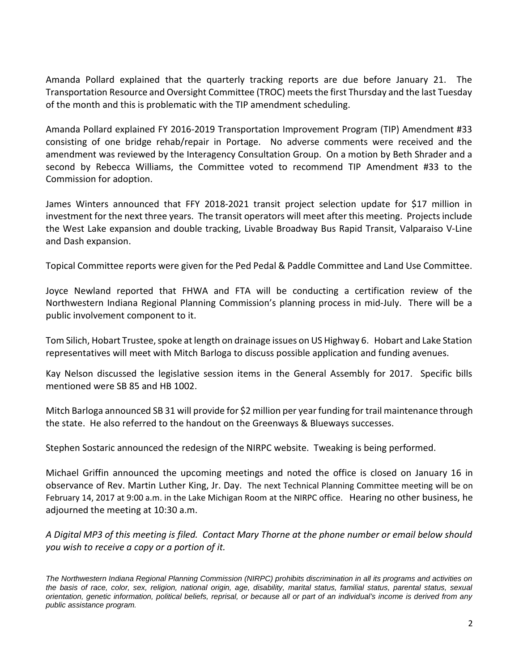Amanda Pollard explained that the quarterly tracking reports are due before January 21. The Transportation Resource and Oversight Committee (TROC) meets the first Thursday and the last Tuesday of the month and this is problematic with the TIP amendment scheduling.

Amanda Pollard explained FY 2016-2019 Transportation Improvement Program (TIP) Amendment #33 consisting of one bridge rehab/repair in Portage. No adverse comments were received and the amendment was reviewed by the Interagency Consultation Group. On a motion by Beth Shrader and a second by Rebecca Williams, the Committee voted to recommend TIP Amendment #33 to the Commission for adoption.

James Winters announced that FFY 2018-2021 transit project selection update for \$17 million in investment for the next three years. The transit operators will meet after this meeting. Projects include the West Lake expansion and double tracking, Livable Broadway Bus Rapid Transit, Valparaiso V-Line and Dash expansion.

Topical Committee reports were given for the Ped Pedal & Paddle Committee and Land Use Committee.

Joyce Newland reported that FHWA and FTA will be conducting a certification review of the Northwestern Indiana Regional Planning Commission's planning process in mid-July. There will be a public involvement component to it.

Tom Silich, Hobart Trustee, spoke at length on drainage issues on US Highway 6. Hobart and Lake Station representatives will meet with Mitch Barloga to discuss possible application and funding avenues.

Kay Nelson discussed the legislative session items in the General Assembly for 2017. Specific bills mentioned were SB 85 and HB 1002.

Mitch Barloga announced SB 31 will provide for \$2 million per year funding for trail maintenance through the state. He also referred to the handout on the Greenways & Blueways successes.

Stephen Sostaric announced the redesign of the NIRPC website. Tweaking is being performed.

Michael Griffin announced the upcoming meetings and noted the office is closed on January 16 in observance of Rev. Martin Luther King, Jr. Day. The next Technical Planning Committee meeting will be on February 14, 2017 at 9:00 a.m. in the Lake Michigan Room at the NIRPC office. Hearing no other business, he adjourned the meeting at 10:30 a.m.

*A Digital MP3 of this meeting is filed. Contact Mary Thorne at the phone number or email below should you wish to receive a copy or a portion of it.* 

*The Northwestern Indiana Regional Planning Commission (NIRPC) prohibits discrimination in all its programs and activities on the basis of race, color, sex, religion, national origin, age, disability, marital status, familial status, parental status, sexual orientation, genetic information, political beliefs, reprisal, or because all or part of an individual's income is derived from any public assistance program.*